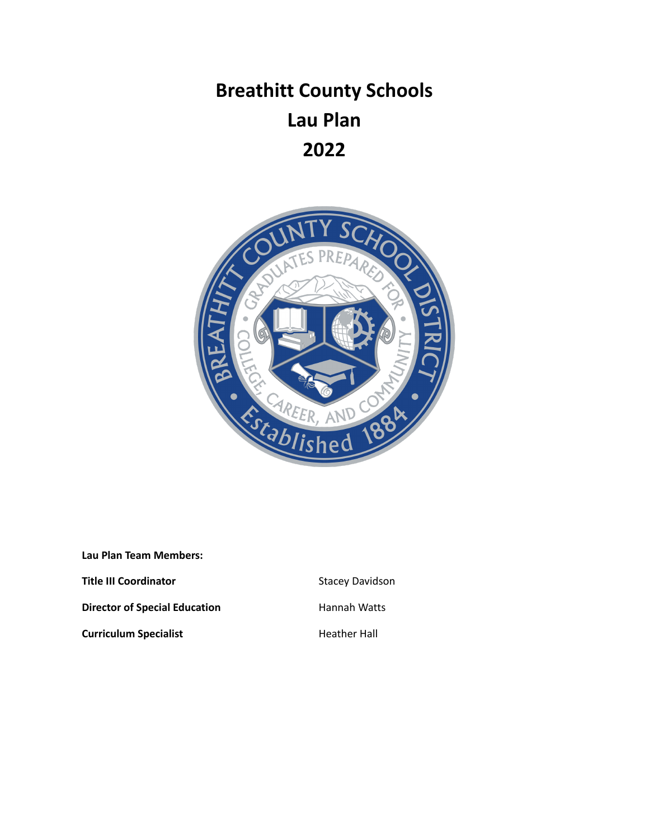# **Breathitt County Schools Lau Plan 2022**



**Lau Plan Team Members: Title III Coordinator Coordinator** Stacey Davidson **Director of Special Education** Hannah Watts

**Curriculum Specialist Heather Hall**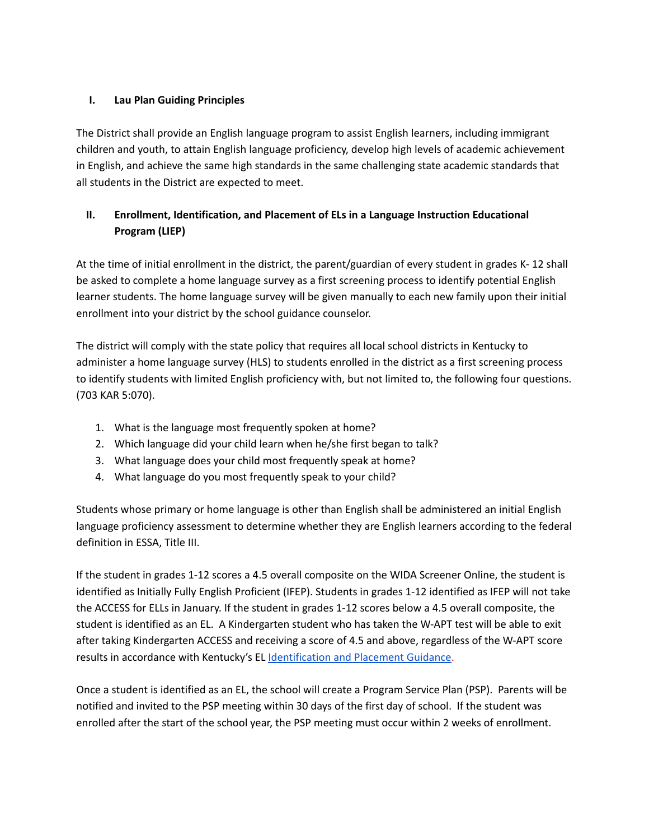#### **I. Lau Plan Guiding Principles**

The District shall provide an English language program to assist English learners, including immigrant children and youth, to attain English language proficiency, develop high levels of academic achievement in English, and achieve the same high standards in the same challenging state academic standards that all students in the District are expected to meet.

# **II. Enrollment, Identification, and Placement of ELs in a Language Instruction Educational Program (LIEP)**

At the time of initial enrollment in the district, the parent/guardian of every student in grades K- 12 shall be asked to complete a home language survey as a first screening process to identify potential English learner students. The home language survey will be given manually to each new family upon their initial enrollment into your district by the school guidance counselor.

The district will comply with the state policy that requires all local school districts in Kentucky to administer a home language survey (HLS) to students enrolled in the district as a first screening process to identify students with limited English proficiency with, but not limited to, the following four questions. (703 KAR 5:070).

- 1. What is the language most frequently spoken at home?
- 2. Which language did your child learn when he/she first began to talk?
- 3. What language does your child most frequently speak at home?
- 4. What language do you most frequently speak to your child?

Students whose primary or home language is other than English shall be administered an initial English language proficiency assessment to determine whether they are English learners according to the federal definition in ESSA, Title III.

If the student in grades 1-12 scores a 4.5 overall composite on the WIDA Screener Online, the student is identified as Initially Fully English Proficient (IFEP). Students in grades 1-12 identified as IFEP will not take the ACCESS for ELLs in January. If the student in grades 1-12 scores below a 4.5 overall composite, the student is identified as an EL. A Kindergarten student who has taken the W-APT test will be able to exit after taking Kindergarten ACCESS and receiving a score of 4.5 and above, regardless of the W-APT score results in accordance with Kentucky's EL [Identification](https://wida.wisc.edu/sites/default/files/id-placement/KY-ID-Placement-Guidance.pdf) and Placement Guidance.

Once a student is identified as an EL, the school will create a Program Service Plan (PSP). Parents will be notified and invited to the PSP meeting within 30 days of the first day of school. If the student was enrolled after the start of the school year, the PSP meeting must occur within 2 weeks of enrollment.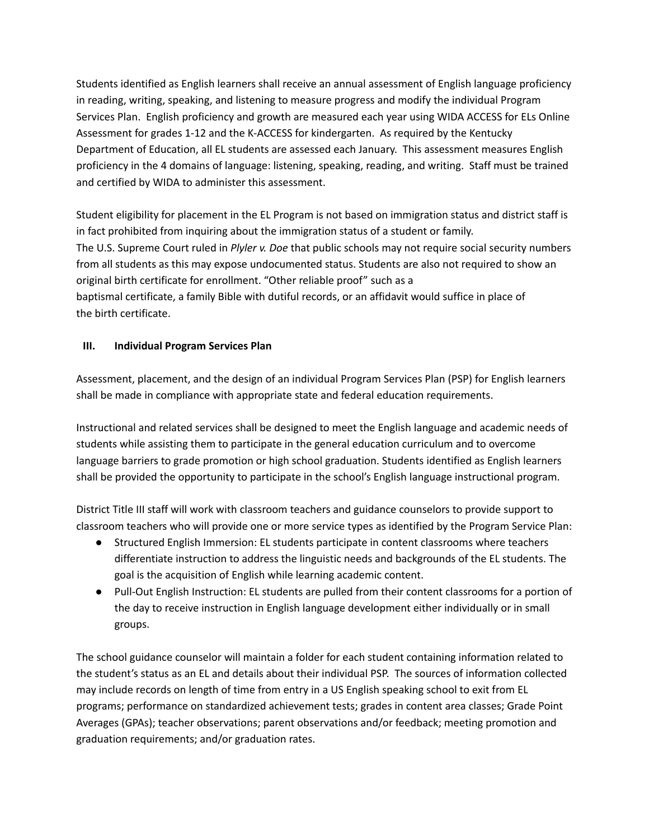Students identified as English learners shall receive an annual assessment of English language proficiency in reading, writing, speaking, and listening to measure progress and modify the individual Program Services Plan. English proficiency and growth are measured each year using WIDA ACCESS for ELs Online Assessment for grades 1-12 and the K-ACCESS for kindergarten. As required by the Kentucky Department of Education, all EL students are assessed each January. This assessment measures English proficiency in the 4 domains of language: listening, speaking, reading, and writing. Staff must be trained and certified by WIDA to administer this assessment.

Student eligibility for placement in the EL Program is not based on immigration status and district staff is in fact prohibited from inquiring about the immigration status of a student or family. The U.S. Supreme Court ruled in *Plyler v. Doe* that public schools may not require social security numbers from all students as this may expose undocumented status. Students are also not required to show an original birth certificate for enrollment. "Other reliable proof" such as a baptismal certificate, a family Bible with dutiful records, or an affidavit would suffice in place of the birth certificate.

## **III. Individual Program Services Plan**

Assessment, placement, and the design of an individual Program Services Plan (PSP) for English learners shall be made in compliance with appropriate state and federal education requirements.

Instructional and related services shall be designed to meet the English language and academic needs of students while assisting them to participate in the general education curriculum and to overcome language barriers to grade promotion or high school graduation. Students identified as English learners shall be provided the opportunity to participate in the school's English language instructional program.

District Title III staff will work with classroom teachers and guidance counselors to provide support to classroom teachers who will provide one or more service types as identified by the Program Service Plan:

- Structured English Immersion: EL students participate in content classrooms where teachers differentiate instruction to address the linguistic needs and backgrounds of the EL students. The goal is the acquisition of English while learning academic content.
- Pull-Out English Instruction: EL students are pulled from their content classrooms for a portion of the day to receive instruction in English language development either individually or in small groups.

The school guidance counselor will maintain a folder for each student containing information related to the student's status as an EL and details about their individual PSP. The sources of information collected may include records on length of time from entry in a US English speaking school to exit from EL programs; performance on standardized achievement tests; grades in content area classes; Grade Point Averages (GPAs); teacher observations; parent observations and/or feedback; meeting promotion and graduation requirements; and/or graduation rates.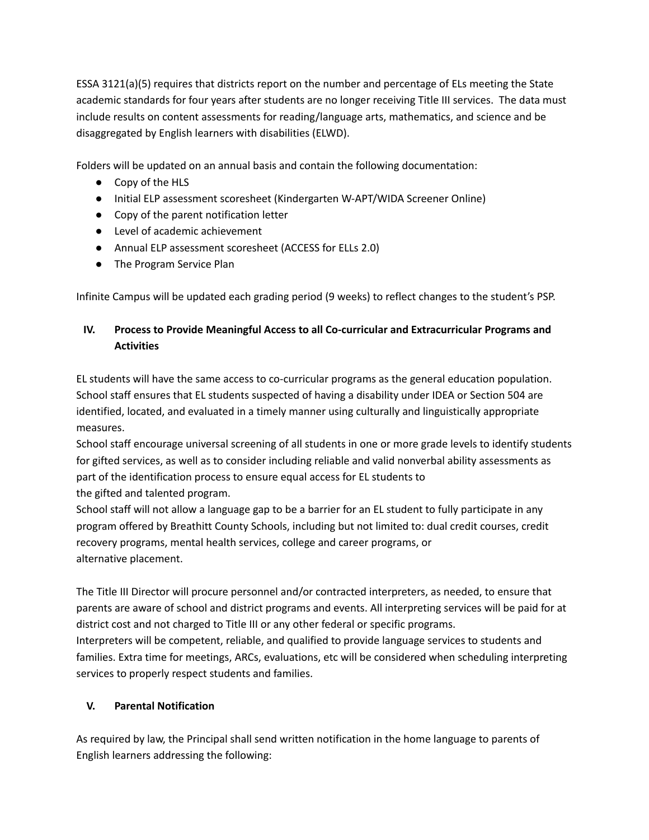ESSA 3121(a)(5) requires that districts report on the number and percentage of ELs meeting the State academic standards for four years after students are no longer receiving Title III services. The data must include results on content assessments for reading/language arts, mathematics, and science and be disaggregated by English learners with disabilities (ELWD).

Folders will be updated on an annual basis and contain the following documentation:

- Copy of the HLS
- Initial ELP assessment scoresheet (Kindergarten W-APT/WIDA Screener Online)
- Copy of the parent notification letter
- Level of academic achievement
- Annual ELP assessment scoresheet (ACCESS for ELLs 2.0)
- The Program Service Plan

Infinite Campus will be updated each grading period (9 weeks) to reflect changes to the student's PSP.

# **IV. Process to Provide Meaningful Access to all Co-curricular and Extracurricular Programs and Activities**

EL students will have the same access to co-curricular programs as the general education population. School staff ensures that EL students suspected of having a disability under IDEA or Section 504 are identified, located, and evaluated in a timely manner using culturally and linguistically appropriate measures.

School staff encourage universal screening of all students in one or more grade levels to identify students for gifted services, as well as to consider including reliable and valid nonverbal ability assessments as part of the identification process to ensure equal access for EL students to the gifted and talented program.

School staff will not allow a language gap to be a barrier for an EL student to fully participate in any program offered by Breathitt County Schools, including but not limited to: dual credit courses, credit recovery programs, mental health services, college and career programs, or alternative placement.

The Title III Director will procure personnel and/or contracted interpreters, as needed, to ensure that parents are aware of school and district programs and events. All interpreting services will be paid for at district cost and not charged to Title III or any other federal or specific programs. Interpreters will be competent, reliable, and qualified to provide language services to students and families. Extra time for meetings, ARCs, evaluations, etc will be considered when scheduling interpreting services to properly respect students and families.

# **V. Parental Notification**

As required by law, the Principal shall send written notification in the home language to parents of English learners addressing the following: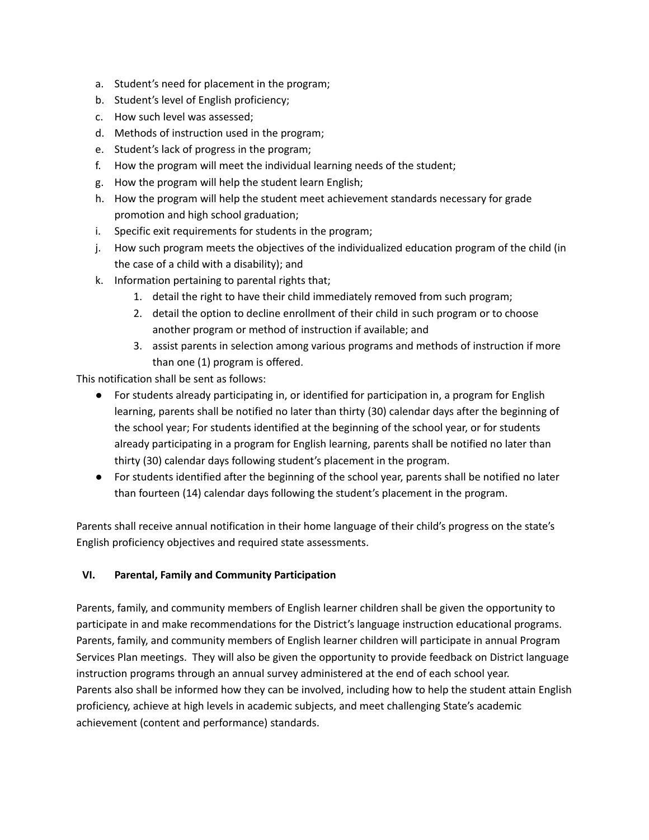- a. Student's need for placement in the program;
- b. Student's level of English proficiency;
- c. How such level was assessed;
- d. Methods of instruction used in the program;
- e. Student's lack of progress in the program;
- f. How the program will meet the individual learning needs of the student;
- g. How the program will help the student learn English;
- h. How the program will help the student meet achievement standards necessary for grade promotion and high school graduation;
- i. Specific exit requirements for students in the program;
- j. How such program meets the objectives of the individualized education program of the child (in the case of a child with a disability); and
- k. Information pertaining to parental rights that;
	- 1. detail the right to have their child immediately removed from such program;
	- 2. detail the option to decline enrollment of their child in such program or to choose another program or method of instruction if available; and
	- 3. assist parents in selection among various programs and methods of instruction if more than one (1) program is offered.

This notification shall be sent as follows:

- For students already participating in, or identified for participation in, a program for English learning, parents shall be notified no later than thirty (30) calendar days after the beginning of the school year; For students identified at the beginning of the school year, or for students already participating in a program for English learning, parents shall be notified no later than thirty (30) calendar days following student's placement in the program.
- For students identified after the beginning of the school year, parents shall be notified no later than fourteen (14) calendar days following the student's placement in the program.

Parents shall receive annual notification in their home language of their child's progress on the state's English proficiency objectives and required state assessments.

#### **VI. Parental, Family and Community Participation**

Parents, family, and community members of English learner children shall be given the opportunity to participate in and make recommendations for the District's language instruction educational programs. Parents, family, and community members of English learner children will participate in annual Program Services Plan meetings. They will also be given the opportunity to provide feedback on District language instruction programs through an annual survey administered at the end of each school year. Parents also shall be informed how they can be involved, including how to help the student attain English proficiency, achieve at high levels in academic subjects, and meet challenging State's academic achievement (content and performance) standards.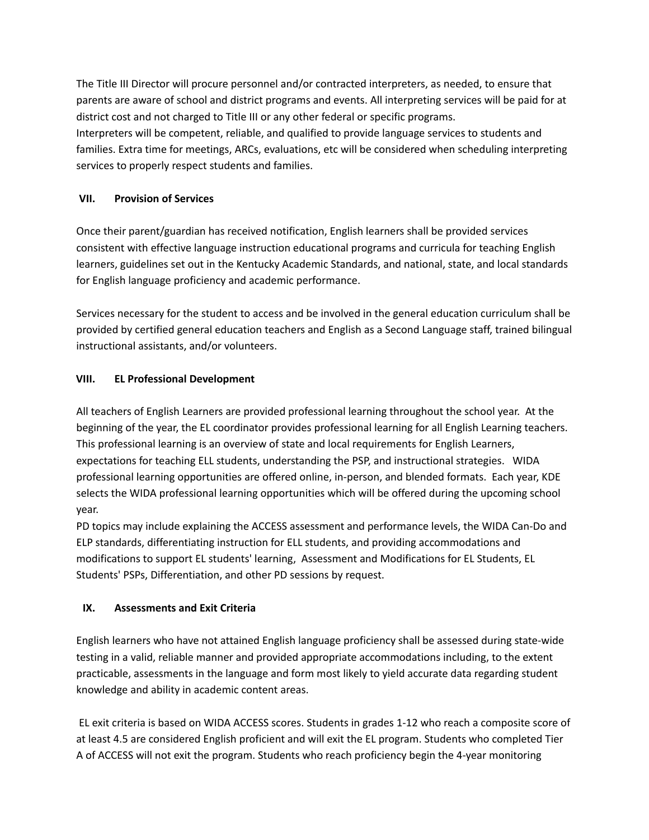The Title III Director will procure personnel and/or contracted interpreters, as needed, to ensure that parents are aware of school and district programs and events. All interpreting services will be paid for at district cost and not charged to Title III or any other federal or specific programs. Interpreters will be competent, reliable, and qualified to provide language services to students and families. Extra time for meetings, ARCs, evaluations, etc will be considered when scheduling interpreting services to properly respect students and families.

#### **VII. Provision of Services**

Once their parent/guardian has received notification, English learners shall be provided services consistent with effective language instruction educational programs and curricula for teaching English learners, guidelines set out in the Kentucky Academic Standards, and national, state, and local standards for English language proficiency and academic performance.

Services necessary for the student to access and be involved in the general education curriculum shall be provided by certified general education teachers and English as a Second Language staff, trained bilingual instructional assistants, and/or volunteers.

#### **VIII. EL Professional Development**

All teachers of English Learners are provided professional learning throughout the school year. At the beginning of the year, the EL coordinator provides professional learning for all English Learning teachers. This professional learning is an overview of state and local requirements for English Learners, expectations for teaching ELL students, understanding the PSP, and instructional strategies. WIDA professional learning opportunities are offered online, in-person, and blended formats. Each year, KDE selects the WIDA professional learning opportunities which will be offered during the upcoming school year.

PD topics may include explaining the ACCESS assessment and performance levels, the WIDA Can-Do and ELP standards, differentiating instruction for ELL students, and providing accommodations and modifications to support EL students' learning, Assessment and Modifications for EL Students, EL Students' PSPs, Differentiation, and other PD sessions by request.

#### **IX. Assessments and Exit Criteria**

English learners who have not attained English language proficiency shall be assessed during state-wide testing in a valid, reliable manner and provided appropriate accommodations including, to the extent practicable, assessments in the language and form most likely to yield accurate data regarding student knowledge and ability in academic content areas.

EL exit criteria is based on WIDA ACCESS scores. Students in grades 1-12 who reach a composite score of at least 4.5 are considered English proficient and will exit the EL program. Students who completed Tier A of ACCESS will not exit the program. Students who reach proficiency begin the 4-year monitoring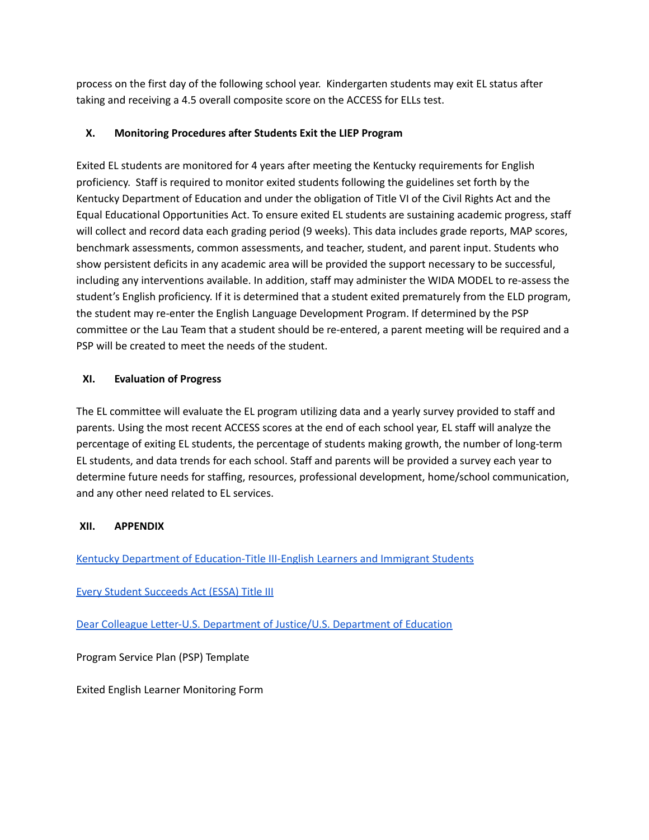process on the first day of the following school year. Kindergarten students may exit EL status after taking and receiving a 4.5 overall composite score on the ACCESS for ELLs test.

#### **X. Monitoring Procedures after Students Exit the LIEP Program**

Exited EL students are monitored for 4 years after meeting the Kentucky requirements for English proficiency. Staff is required to monitor exited students following the guidelines set forth by the Kentucky Department of Education and under the obligation of Title VI of the Civil Rights Act and the Equal Educational Opportunities Act. To ensure exited EL students are sustaining academic progress, staff will collect and record data each grading period (9 weeks). This data includes grade reports, MAP scores, benchmark assessments, common assessments, and teacher, student, and parent input. Students who show persistent deficits in any academic area will be provided the support necessary to be successful, including any interventions available. In addition, staff may administer the WIDA MODEL to re-assess the student's English proficiency. If it is determined that a student exited prematurely from the ELD program, the student may re-enter the English Language Development Program. If determined by the PSP committee or the Lau Team that a student should be re-entered, a parent meeting will be required and a PSP will be created to meet the needs of the student.

## **XI. Evaluation of Progress**

The EL committee will evaluate the EL program utilizing data and a yearly survey provided to staff and parents. Using the most recent ACCESS scores at the end of each school year, EL staff will analyze the percentage of exiting EL students, the percentage of students making growth, the number of long-term EL students, and data trends for each school. Staff and parents will be provided a survey each year to determine future needs for staffing, resources, professional development, home/school communication, and any other need related to EL services.

# **XII. APPENDIX**

Kentucky Department of [Education-Title](https://education.ky.gov/federal/progs/eng/Pages/default.aspx) III-English Learners and Immigrant Students

# Every Student [Succeeds](https://www2.ed.gov/policy/elsec/leg/essa/essatitleiiiguidenglishlearners92016.pdf) Act (ESSA) Title III

Dear Colleague Letter-U.S. Department of Justice/U.S. [Department](https://www2.ed.gov/about/offices/list/ocr/letters/colleague-el-201501.pdf) of Education

Program Service Plan (PSP) Template

Exited English Learner Monitoring Form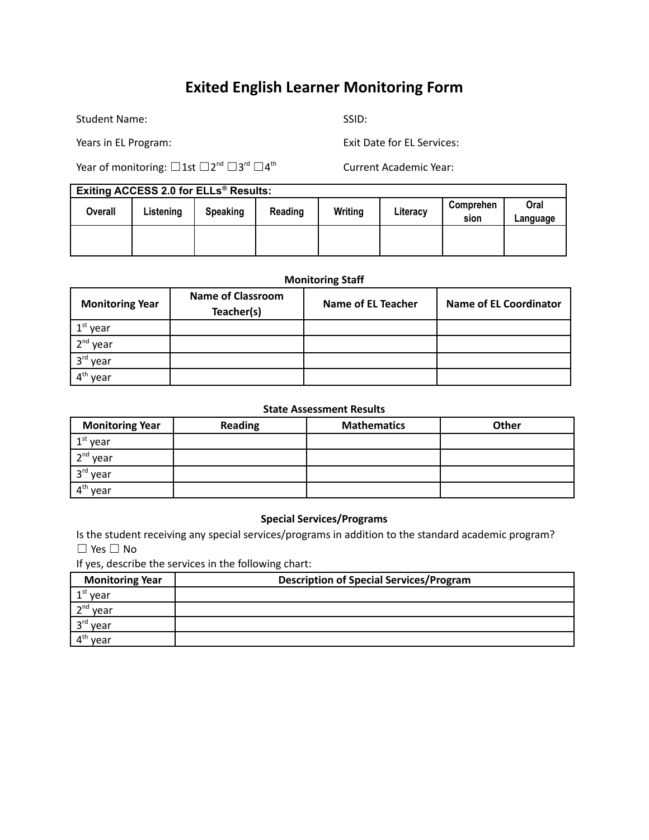# **Exited English Learner Monitoring Form**

Student Name: SSID: SSID:

Years in EL Program: Exit Date for EL Services:

Year of monitoring:  $\Box$  1st  $\Box 2^{\mathsf{nd}}\,\Box 3^{\mathsf{rd}}\,\Box 4^{\mathsf{t}}$ 

Current Academic Year:

| <b>Exiting ACCESS 2.0 for ELLs<sup>®</sup> Results:</b> |            |                  |                |           |  |  |
|---------------------------------------------------------|------------|------------------|----------------|-----------|--|--|
| 0.0000                                                  | l intening | <b>Casaldina</b> | <b>Deading</b> | $M = 1.4$ |  |  |

| LAIGHTY AUULUU LIV IUI LLLS TIUSURS. |           |                 |         |         |          |                   |                  |
|--------------------------------------|-----------|-----------------|---------|---------|----------|-------------------|------------------|
| <b>Overall</b>                       | Listening | <b>Speaking</b> | Reading | Writing | Literacy | Comprehen<br>sion | Oral<br>Language |
|                                      |           |                 |         |         |          |                   |                  |

#### **Monitoring Staff**

| <b>Monitoring Year</b> | <b>Name of Classroom</b><br>Teacher(s) | <b>Name of EL Teacher</b> | <b>Name of EL Coordinator</b> |
|------------------------|----------------------------------------|---------------------------|-------------------------------|
| $1st$ year             |                                        |                           |                               |
| $2nd$ year             |                                        |                           |                               |
| 3rd year               |                                        |                           |                               |
| vear                   |                                        |                           |                               |

#### **State Assessment Results**

| <b>Monitoring Year</b> | <b>Reading</b> | <b>Mathematics</b> | <b>Other</b> |
|------------------------|----------------|--------------------|--------------|
| $1st$ year             |                |                    |              |
| $2nd$ year             |                |                    |              |
| 3rd year               |                |                    |              |
| $4th$ year             |                |                    |              |

#### **Special Services/Programs**

Is the student receiving any special services/programs in addition to the standard academic program? ☐ Yes ☐ No

If yes, describe the services in the following chart:

| <b>Monitoring Year</b> | <b>Description of Special Services/Program</b> |  |  |
|------------------------|------------------------------------------------|--|--|
| $1st$ year             |                                                |  |  |
| $2nd$ year             |                                                |  |  |
| 3rd year               |                                                |  |  |
| лtl<br>vear            |                                                |  |  |